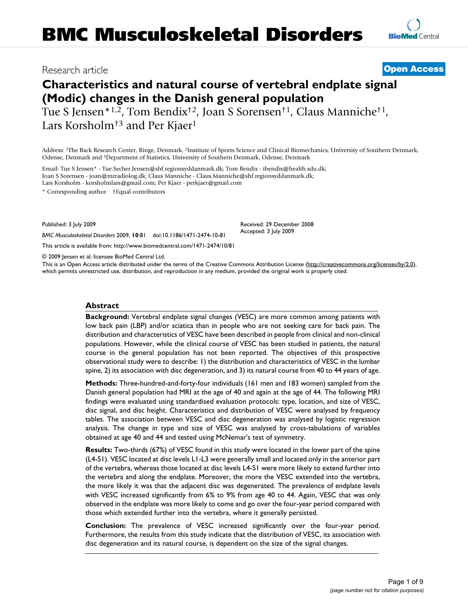## Research article **[Open Access](http://www.biomedcentral.com/info/about/charter/)**

# **Characteristics and natural course of vertebral endplate signal (Modic) changes in the Danish general population**

Tue S Jensen\*1,2, Tom Bendix†2, Joan S Sorensen†1, Claus Manniche†1, Lars Korsholm<sup>†3</sup> and Per Kjaer<sup>1</sup>

Address: 1The Back Research Center, Ringe, Denmark, 2Institute of Sports Science and Clinical Biomechanics, University of Southern Denmark, Odense, Denmark and 3Department of Statistics, University of Southern Denmark, Odense, Denmark

Email: Tue S Jensen\* - Tue.Secher.Jensen@shf.regionsyddanmark.dk; Tom Bendix - tbendix@health.sdu.dk; Joan S Sorensen - joan@mrradiolog.dk; Claus Manniche - Claus.Manniche@shf.regionsyddanmark.dk; Lars Korsholm - korsholmlars@gmail.com; Per Kjaer - perkjaer@gmail.com

\* Corresponding author †Equal contributors

*BMC Musculoskeletal Disorders* 2009, **10**:81 doi:10.1186/1471-2474-10-81

Published: 3 July 2009

Received: 29 December 2008 Accepted: 3 July 2009

[This article is available from: http://www.biomedcentral.com/1471-2474/10/81](http://www.biomedcentral.com/1471-2474/10/81) © 2009 Jensen et al; licensee BioMed Central Ltd.

This is an Open Access article distributed under the terms of the Creative Commons Attribution License [\(http://creativecommons.org/licenses/by/2.0\)](http://creativecommons.org/licenses/by/2.0), which permits unrestricted use, distribution, and reproduction in any medium, provided the original work is properly cited.

#### **Abstract**

**Background:** Vertebral endplate signal changes (VESC) are more common among patients with low back pain (LBP) and/or sciatica than in people who are not seeking care for back pain. The distribution and characteristics of VESC have been described in people from clinical and non-clinical populations. However, while the clinical course of VESC has been studied in patients, the natural course in the general population has not been reported. The objectives of this prospective observational study were to describe: 1) the distribution and characteristics of VESC in the lumbar spine, 2) its association with disc degeneration, and 3) its natural course from 40 to 44 years of age.

**Methods:** Three-hundred-and-forty-four individuals (161 men and 183 women) sampled from the Danish general population had MRI at the age of 40 and again at the age of 44. The following MRI findings were evaluated using standardised evaluation protocols: type, location, and size of VESC, disc signal, and disc height. Characteristics and distribution of VESC were analysed by frequency tables. The association between VESC and disc degeneration was analysed by logistic regression analysis. The change in type and size of VESC was analysed by cross-tabulations of variables obtained at age 40 and 44 and tested using McNemar's test of symmetry.

**Results:** Two-thirds (67%) of VESC found in this study were located in the lower part of the spine (L4-S1). VESC located at disc levels L1-L3 were generally small and located only in the anterior part of the vertebra, whereas those located at disc levels L4-S1 were more likely to extend further into the vertebra and along the endplate. Moreover, the more the VESC extended into the vertebra, the more likely it was that the adjacent disc was degenerated. The prevalence of endplate levels with VESC increased significantly from 6% to 9% from age 40 to 44. Again, VESC that was only observed in the endplate was more likely to come and go over the four-year period compared with those which extended further into the vertebra, where it generally persisted.

**Conclusion:** The prevalence of VESC increased significantly over the four-year period. Furthermore, the results from this study indicate that the distribution of VESC, its association with disc degeneration and its natural course, is dependent on the size of the signal changes.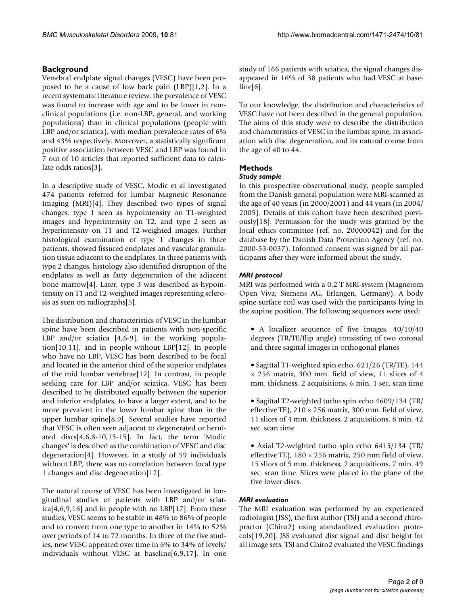## **Background**

Vertebral endplate signal changes (VESC) have been proposed to be a cause of low back pain (LBP)[1,2]. In a recent systematic literature review, the prevalence of VESC was found to increase with age and to be lower in nonclinical populations (i.e. non-LBP, general, and working populations) than in clinical populations (people with LBP and/or sciatica), with median prevalence rates of 6% and 43% respectively. Moreover, a statistically significant positive association between VESC and LBP was found in 7 out of 10 articles that reported sufficient data to calculate odds ratios[3].

In a descriptive study of VESC, Modic et al investigated 474 patients referred for lumbar Magnetic Resonance Imaging (MRI)[4]. They described two types of signal changes: type 1 seen as hypointensity on T1-weighted images and hyperintensity on T2, and type 2 seen as hyperintensity on T1 and T2-weighted images. Further histological examination of type 1 changes in three patients, showed fissured endplates and vascular granulation tissue adjacent to the endplates. In three patients with type 2 changes, histology also identified disruption of the endplates as well as fatty degeneration of the adjacent bone marrow[4]. Later, type 3 was described as hypointensity on T1 and T2-weighted images representing sclerosis as seen on radiographs[5].

The distribution and characteristics of VESC in the lumbar spine have been described in patients with non-specific LBP and/or sciatica [4,6-9], in the working population[10,11], and in people without LBP[12]. In people who have no LBP, VESC has been described to be focal and located in the anterior third of the superior endplates of the mid lumbar vertebrae[12]. In contrast, in people seeking care for LBP and/or sciatica, VESC has been described to be distributed equally between the superior and inferior endplates, to have a larger extent, and to be more prevalent in the lower lumbar spine than in the upper lumbar spine[8,9]. Several studies have reported that VESC is often seen adjacent to degenerated or herniated discs[4,6,8-10,13-15]. In fact, the term 'Modic changes' is described as the combination of VESC and disc degeneration[4]. However, in a study of 59 individuals without LBP, there was no correlation between focal type 1 changes and disc degeneration[12].

The natural course of VESC has been investigated in longitudinal studies of patients with LBP and/or sciat $ica[4,6,9,16]$  and in people with no LBP[17]. From these studies, VESC seems to be stable in 48% to 86% of people and to convert from one type to another in 14% to 52% over periods of 14 to 72 months. In three of the five studies, new VESC appeared over time in 6% to 34% of levels/ individuals without VESC at baseline[6,9,17]. In one study of 166 patients with sciatica, the signal changes disappeared in 16% of 38 patients who had VESC at baseline[6].

To our knowledge, the distribution and characteristics of VESC have not been described in the general population. The aims of this study were to describe the distribution and characteristics of VESC in the lumbar spine, its association with disc degeneration, and its natural course from the age of 40 to 44.

## **Methods**

## *Study sample*

In this prospective observational study, people sampled from the Danish general population were MRI-scanned at the age of 40 years (in 2000/2001) and 44 years (in 2004/ 2005). Details of this cohort have been described previously[18]. Permission for the study was granted by the local ethics committee (ref. no. 20000042) and for the database by the Danish Data Protection Agency (ref. no. 2000-53-0037). Informed consent was signed by all participants after they were informed about the study.

## *MRI protocol*

MRI was performed with a 0.2 T MRI-system (Magnetom Open Viva; Siemens AG, Erlangen, Germany). A body spine surface coil was used with the participants lying in the supine position. The following sequences were used:

- A localizer sequence of five images, 40/10/40 degrees (TR/TE/flip angle) consisting of two coronal and three sagittal images in orthogonal planes
- Sagittal T1-weighted spin echo, 621/26 (TR/TE), 144 × 256 matrix, 300 mm. field of view, 11 slices of 4 mm. thickness, 2 acquisitions, 6 min. 1 sec. scan time
- Sagittal T2-weighted turbo spin echo 4609/134 (TR/ effective TE), 210 × 256 matrix, 300 mm. field of view, 11 slices of 4 mm. thickness, 2 acquisitions, 8 min. 42 sec. scan time
- Axial T2-weighted turbo spin echo 6415/134 (TR/ effective TE),  $180 \times 256$  matrix, 250 mm field of view, 15 slices of 5 mm. thickness, 2 acquisitions, 7 min. 49 sec. scan time. Slices were placed in the plane of the five lower discs.

## *MRI evaluation*

The MRI evaluation was performed by an experienced radiologist (JSS), the first author (TSJ) and a second chiropractor (Chiro2) using standardized evaluation protocols[19,20]. JSS evaluated disc signal and disc height for all image sets. TSJ and Chiro2 evaluated the VESC findings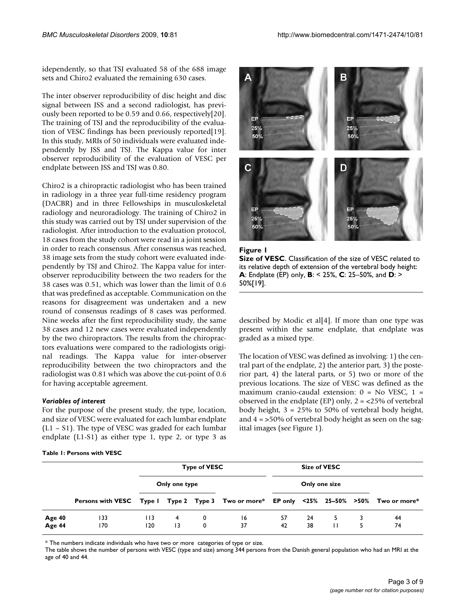idependently, so that TSJ evaluated 58 of the 688 image sets and Chiro2 evaluated the remaining 630 cases.

The inter observer reproducibility of disc height and disc signal between JSS and a second radiologist, has previously been reported to be 0.59 and 0.66, respectively[20]. The training of TSJ and the reproducibility of the evaluation of VESC findings has been previously reported[19]. In this study, MRIs of 50 individuals were evaluated independently by JSS and TSJ. The Kappa value for inter observer reproducibility of the evaluation of VESC per endplate between JSS and TSJ was 0.80.

Chiro2 is a chiropractic radiologist who has been trained in radiology in a three year full-time residency program (DACBR) and in three Fellowships in musculoskeletal radiology and neuroradiology. The training of Chiro2 in this study was carried out by TSJ under supervision of the radiologist. After introduction to the evaluation protocol, 18 cases from the study cohort were read in a joint session in order to reach consensus. After consensus was reached, 38 image sets from the study cohort were evaluated independently by TSJ and Chiro2. The Kappa value for interobserver reproducibility between the two readers for the 38 cases was 0.51, which was lower than the limit of 0.6 that was predefined as acceptable. Communication on the reasons for disagreement was undertaken and a new round of consensus readings of 8 cases was performed. Nine weeks after the first reproducibility study, the same 38 cases and 12 new cases were evaluated independently by the two chiropractors. The results from the chiropractors evaluations were compared to the radiologists original readings. The Kappa value for inter-observer reproducibility between the two chiropractors and the radiologist was 0.81 which was above the cut-point of 0.6 for having acceptable agreement.

## *Variables of interest*

For the purpose of the present study, the type, location, and size of VESC were evaluated for each lumbar endplate (L1 – S1). The type of VESC was graded for each lumbar endplate (L1-S1) as either type 1, type 2, or type 3 as

#### **Table 1: Persons with VESC**



**Figure 1 Size of VESC**. Classification of the size of VESC related to its relative depth of extension of the vertebral body height: **A**: Endplate (EP) only, **B**: < 25%, **C**: 25–50%, and **D**: > 50%[19].

described by Modic et al[4]. If more than one type was present within the same endplate, that endplate was graded as a mixed type.

The location of VESC was defined as involving: 1) the central part of the endplate, 2) the anterior part, 3) the posterior part, 4) the lateral parts, or 5) two or more of the previous locations. The size of VESC was defined as the maximum cranio-caudal extension:  $0 = No VESC$ ,  $1 =$ observed in the endplate (EP) only,  $2 = 25\%$  of vertebral body height, 3 = 25% to 50% of vertebral body height, and 4 = >50% of vertebral body height as seen on the sagittal images (see Figure 1).

|                  | Persons with VESC Type I Type 2 Type 3 Two or more* EP only <25% 25-50% >50% Two or more* | <b>Type of VESC</b> |         |        |          | Size of VESC  |          |              |  |          |
|------------------|-------------------------------------------------------------------------------------------|---------------------|---------|--------|----------|---------------|----------|--------------|--|----------|
|                  |                                                                                           | Only one type       |         |        |          | Only one size |          |              |  |          |
|                  |                                                                                           |                     |         |        |          |               |          |              |  |          |
| Age 40<br>Age 44 | 133<br>170                                                                                | 113<br>120          | 4<br>13 | 0<br>0 | 16<br>37 | 57<br>42      | 24<br>38 | $\mathbf{H}$ |  | 44<br>74 |

\* The numbers indicate individuals who have two or more categories of type or size.

The table shows the number of persons with VESC (type and size) among 344 persons from the Danish general population who had an MRI at the age of 40 and 44.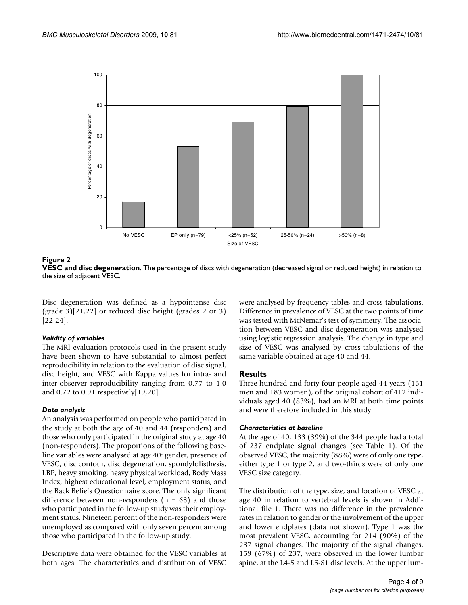

**Figure 2** 



Disc degeneration was defined as a hypointense disc (grade 3)[21,22] or reduced disc height (grades 2 or 3) [22-24].

#### *Validity of variables*

The MRI evaluation protocols used in the present study have been shown to have substantial to almost perfect reproducibility in relation to the evaluation of disc signal, disc height, and VESC with Kappa values for intra- and inter-observer reproducibility ranging from 0.77 to 1.0 and 0.72 to 0.91 respectively[19,20].

#### *Data analysis*

An analysis was performed on people who participated in the study at both the age of 40 and 44 (responders) and those who only participated in the original study at age 40 (non-responders). The proportions of the following baseline variables were analysed at age 40: gender, presence of VESC, disc contour, disc degeneration, spondylolisthesis, LBP, heavy smoking, heavy physical workload, Body Mass Index, highest educational level, employment status, and the Back Beliefs Questionnaire score. The only significant difference between non-responders  $(n = 68)$  and those who participated in the follow-up study was their employment status. Nineteen percent of the non-responders were unemployed as compared with only seven percent among those who participated in the follow-up study.

Descriptive data were obtained for the VESC variables at both ages. The characteristics and distribution of VESC were analysed by frequency tables and cross-tabulations. Difference in prevalence of VESC at the two points of time was tested with McNemar's test of symmetry. The association between VESC and disc degeneration was analysed using logistic regression analysis. The change in type and size of VESC was analysed by cross-tabulations of the same variable obtained at age 40 and 44.

#### **Results**

Three hundred and forty four people aged 44 years (161 men and 183 women), of the original cohort of 412 individuals aged 40 (83%), had an MRI at both time points and were therefore included in this study.

#### *Characteristics at baseline*

At the age of 40, 133 (39%) of the 344 people had a total of 237 endplate signal changes (see Table 1). Of the observed VESC, the majority (88%) were of only one type, either type 1 or type 2, and two-thirds were of only one VESC size category.

The distribution of the type, size, and location of VESC at age 40 in relation to vertebral levels is shown in Additional file 1. There was no difference in the prevalence rates in relation to gender or the involvement of the upper and lower endplates (data not shown). Type 1 was the most prevalent VESC, accounting for 214 (90%) of the 237 signal changes. The majority of the signal changes, 159 (67%) of 237, were observed in the lower lumbar spine, at the L4-5 and L5-S1 disc levels. At the upper lum-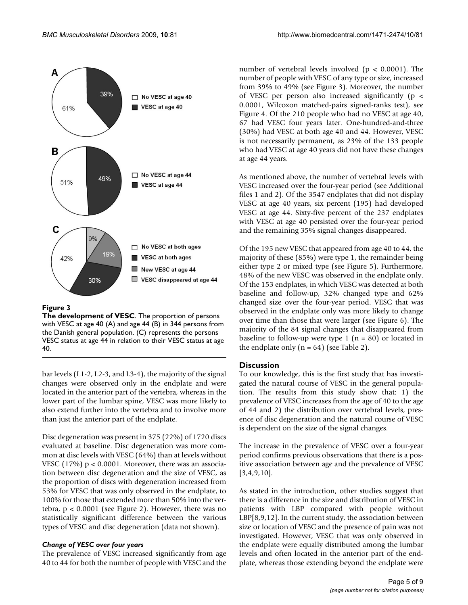

#### **Figure 3**

**The development of VESC**. The proportion of persons with VESC at age 40 (A) and age 44 (B) in 344 persons from the Danish general population. (C) represents the persons VESC status at age 44 in relation to their VESC status at age 40.

bar levels (L1-2, L2-3, and L3-4), the majority of the signal changes were observed only in the endplate and were located in the anterior part of the vertebra, whereas in the lower part of the lumbar spine, VESC was more likely to also extend further into the vertebra and to involve more than just the anterior part of the endplate.

Disc degeneration was present in 375 (22%) of 1720 discs evaluated at baseline. Disc degeneration was more common at disc levels with VESC (64%) than at levels without VESC  $(17%) p < 0.0001$ . Moreover, there was an association between disc degeneration and the size of VESC, as the proportion of discs with degeneration increased from 53% for VESC that was only observed in the endplate, to 100% for those that extended more than 50% into the vertebra,  $p < 0.0001$  (see Figure 2). However, there was no statistically significant difference between the various types of VESC and disc degeneration (data not shown).

## *Change of VESC over four years*

The prevalence of VESC increased significantly from age 40 to 44 for both the number of people with VESC and the number of vertebral levels involved ( $p < 0.0001$ ). The number of people with VESC of any type or size, increased from 39% to 49% (see Figure 3). Moreover, the number of VESC per person also increased significantly (p < 0.0001, Wilcoxon matched-pairs signed-ranks test), see Figure 4. Of the 210 people who had no VESC at age 40, 67 had VESC four years later. One-hundred-and-three (30%) had VESC at both age 40 and 44. However, VESC is not necessarily permanent, as 23% of the 133 people who had VESC at age 40 years did not have these changes at age 44 years.

As mentioned above, the number of vertebral levels with VESC increased over the four-year period (see Additional files 1 and 2). Of the 3547 endplates that did not display VESC at age 40 years, six percent (195) had developed VESC at age 44. Sixty-five percent of the 237 endplates with VESC at age 40 persisted over the four-year period and the remaining 35% signal changes disappeared.

Of the 195 new VESC that appeared from age 40 to 44, the majority of these (85%) were type 1, the remainder being either type 2 or mixed type (see Figure 5). Furthermore, 48% of the new VESC was observed in the endplate only. Of the 153 endplates, in which VESC was detected at both baseline and follow-up, 32% changed type and 62% changed size over the four-year period. VESC that was observed in the endplate only was more likely to change over time than those that were larger (see Figure 6). The majority of the 84 signal changes that disappeared from baseline to follow-up were type 1 ( $n = 80$ ) or located in the endplate only  $(n = 64)$  (see Table 2).

#### **Discussion**

To our knowledge, this is the first study that has investigated the natural course of VESC in the general population. The results from this study show that: 1) the prevalence of VESC increases from the age of 40 to the age of 44 and 2) the distribution over vertebral levels, presence of disc degeneration and the natural course of VESC is dependent on the size of the signal changes.

The increase in the prevalence of VESC over a four-year period confirms previous observations that there is a positive association between age and the prevalence of VESC  $[3,4,9,10]$ .

As stated in the introduction, other studies suggest that there is a difference in the size and distribution of VESC in patients with LBP compared with people without LBP[8,9,12]. In the current study, the association between size or location of VESC and the presence of pain was not investigated. However, VESC that was only observed in the endplate were equally distributed among the lumbar levels and often located in the anterior part of the endplate, whereas those extending beyond the endplate were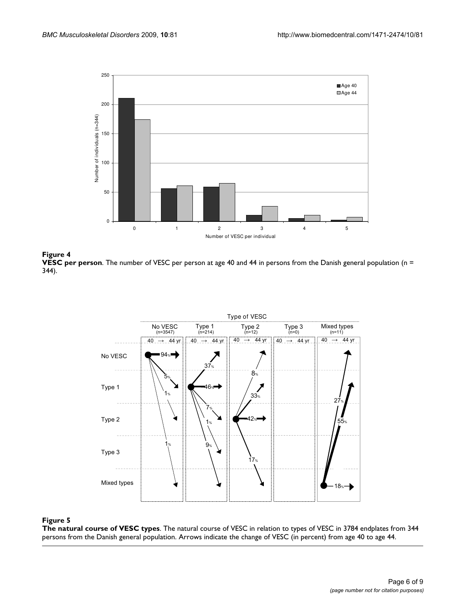





#### Figure 5

**The natural course of VESC types**. The natural course of VESC in relation to types of VESC in 3784 endplates from 344 persons from the Danish general population. Arrows indicate the change of VESC (in percent) from age 40 to age 44.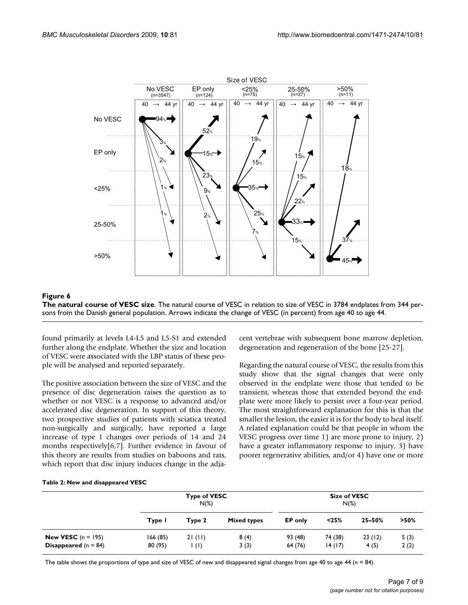

#### **Figure 6**

**The natural course of VESC size**. The natural course of VESC in relation to size of VESC in 3784 endplates from 344 persons from the Danish general population. Arrows indicate the change of VESC (in percent) from age 40 to age 44.

found primarily at levels L4-L5 and L5-S1 and extended further along the endplate. Whether the size and location of VESC were associated with the LBP status of these people will be analysed and reported separately.

The positive association between the size of VESC and the presence of disc degeneration raises the question as to whether or not VESC is a response to advanced and/or accelerated disc degeneration. In support of this theory, two prospective studies of patients with sciatica treated non-surgically and surgically, have reported a large increase of type 1 changes over periods of 14 and 24 months respectively[6,7]. Further evidence in favour of this theory are results from studies on baboons and rats, which report that disc injury induces change in the adjacent vertebrae with subsequent bone marrow depletion, degeneration and regeneration of the bone [25-27].

Regarding the natural course of VESC, the results from this study show that the signal changes that were only observed in the endplate were those that tended to be transient, whereas those that extended beyond the endplate were more likely to persist over a four-year period. The most straightforward explanation for this is that the smaller the lesion, the easier it is for the body to heal itself. A related explanation could be that people in whom the VESC progress over time 1) are more prone to injury, 2) have a greater inflammatory response to injury, 3) have poorer regenerative abilities, and/or 4) have one or more

#### **Table 2: New and disappeared VESC**

|                                                              |                     | <b>Type of VESC</b><br>$N(\%)$ |                    | <b>Size of VESC</b><br>$N(\%)$ |                   |                |              |  |  |
|--------------------------------------------------------------|---------------------|--------------------------------|--------------------|--------------------------------|-------------------|----------------|--------------|--|--|
|                                                              | Type I              | Type 2                         | <b>Mixed types</b> | EP only                        | < 25%             | 25-50%         | $>50\%$      |  |  |
| <b>New VESC</b> $(n = 195)$<br><b>Disappeared</b> $(n = 84)$ | 166 (85)<br>80 (95) | 21(11)<br>$\vert$ (1)          | 8(4)<br>3(3)       | 93 (48)<br>64 (76)             | 74 (38)<br>14(17) | 23(12)<br>4(5) | 5(3)<br>2(2) |  |  |

The table shows the proportions of type and size of VESC of new and disappeared signal changes from age 40 to age 44 ( $n = 84$ ).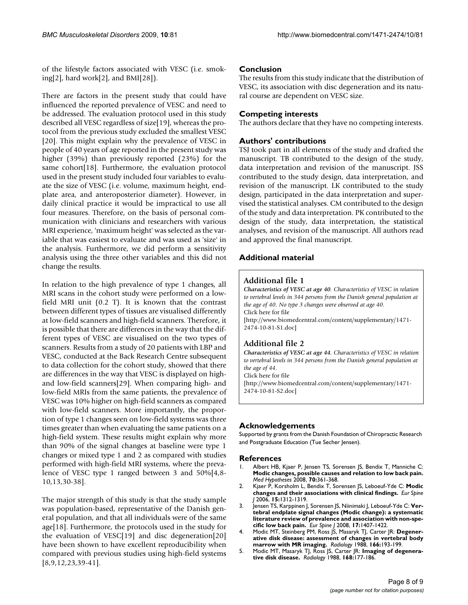of the lifestyle factors associated with VESC (i.e. smoking[2], hard work[2], and BMI[28]).

There are factors in the present study that could have influenced the reported prevalence of VESC and need to be addressed. The evaluation protocol used in this study described all VESC regardless of size[19], whereas the protocol from the previous study excluded the smallest VESC [20]. This might explain why the prevalence of VESC in people of 40 years of age reported in the present study was higher (39%) than previously reported (23%) for the same cohort[18]. Furthermore, the evaluation protocol used in the present study included four variables to evaluate the size of VESC (i.e. volume, maximum height, endplate area, and anteroposterior diameter). However, in daily clinical practice it would be impractical to use all four measures. Therefore, on the basis of personal communication with clinicians and researchers with various MRI experience, 'maximum height' was selected as the variable that was easiest to evaluate and was used as 'size' in the analysis. Furthermore, we did perform a sensitivity analysis using the three other variables and this did not change the results.

In relation to the high prevalence of type 1 changes, all MRI scans in the cohort study were performed on a lowfield MRI unit (0.2 T). It is known that the contrast between different types of tissues are visualised differently at low-field scanners and high-field scanners. Therefore, it is possible that there are differences in the way that the different types of VESC are visualised on the two types of scanners. Results from a study of 20 patients with LBP and VESC, conducted at the Back Research Centre subsequent to data collection for the cohort study, showed that there are differences in the way that VESC is displayed on highand low-field scanners[29]. When comparing high- and low-field MRIs from the same patients, the prevalence of VESC was 10% higher on high-field scanners as compared with low-field scanners. More importantly, the proportion of type 1 changes seen on low-field systems was three times greater than when evaluating the same patients on a high-field system. These results might explain why more than 90% of the signal changes at baseline were type 1 changes or mixed type 1 and 2 as compared with studies performed with high-field MRI systems, where the prevalence of VESC type 1 ranged between 3 and 50%[4,8- 10,13,30-38].

The major strength of this study is that the study sample was population-based, representative of the Danish general population, and that all individuals were of the same age[18]. Furthermore, the protocols used in the study for the evaluation of VESC[19] and disc degeneration[20] have been shown to have excellent reproducibility when compared with previous studies using high-field systems [8,9,12,23,39-41].

## **Conclusion**

The results from this study indicate that the distribution of VESC, its association with disc degeneration and its natural course are dependent on VESC size.

## **Competing interests**

The authors declare that they have no competing interests.

## **Authors' contributions**

TSJ took part in all elements of the study and drafted the manuscript. TB contributed to the design of the study, data interpretation and revision of the manuscript. JSS contributed to the study design, data interpretation, and revision of the manuscript. LK contributed to the study design, participated in the data interpretation and supervised the statistical analyses. CM contributed to the design of the study and data interpretation. PK contributed to the design of the study, data interpretation, the statistical analyses, and revision of the manuscript. All authors read and approved the final manuscript.

## **Additional material**

## **Additional file 1**

*Characteristics of VESC at age 40. Characteristics of VESC in relation to vertebral levels in 344 persons from the Danish general population at the age of 40. No type 3 changes were observed at age 40.* Click here for file [\[http://www.biomedcentral.com/content/supplementary/1471-](http://www.biomedcentral.com/content/supplementary/1471-2474-10-81-S1.doc) 2474-10-81-S1.doc]

## **Additional file 2**

*Characteristics of VESC at age 44. Characteristics of VESC in relation to vertebral levels in 344 persons from the Danish general population at the age of 44.* Click here for file [\[http://www.biomedcentral.com/content/supplementary/1471-](http://www.biomedcentral.com/content/supplementary/1471-2474-10-81-S2.doc)

2474-10-81-S2.doc]

## **Acknowledgements**

Supported by grants from the Danish Foundation of Chiropractic Research and Postgraduate Education (Tue Secher Jensen).

#### **References**

- 1. Albert HB, Kjaer P, Jensen TS, Sorensen JS, Bendix T, Manniche C: **[Modic changes, possible causes and relation to low back pain.](http://www.ncbi.nlm.nih.gov/entrez/query.fcgi?cmd=Retrieve&db=PubMed&dopt=Abstract&list_uids=17624684)** *Med Hypotheses* 2008, **70:**361-368.
- 2. Kjaer P, Korsholm L, Bendix T, Sorensen JS, Leboeuf-Yde C: **[Modic](http://www.ncbi.nlm.nih.gov/entrez/query.fcgi?cmd=Retrieve&db=PubMed&dopt=Abstract&list_uids=16896838) [changes and their associations with clinical findings.](http://www.ncbi.nlm.nih.gov/entrez/query.fcgi?cmd=Retrieve&db=PubMed&dopt=Abstract&list_uids=16896838)** *Eur Spine J* 2006, **15:**1312-1319.
- 3. Jensen TS, Karppinen J, Sorensen JS, Niinimaki J, Leboeuf-Yde C: **[Ver](http://www.ncbi.nlm.nih.gov/entrez/query.fcgi?cmd=Retrieve&db=PubMed&dopt=Abstract&list_uids=18787845)[tebral endplate signal changes \(Modic change\): a systematic](http://www.ncbi.nlm.nih.gov/entrez/query.fcgi?cmd=Retrieve&db=PubMed&dopt=Abstract&list_uids=18787845) literature review of prevalence and association with non-spe[cific low back pain.](http://www.ncbi.nlm.nih.gov/entrez/query.fcgi?cmd=Retrieve&db=PubMed&dopt=Abstract&list_uids=18787845)** *Eur Spine J* 2008, **17:**1407-1422.
- 4. Modic MT, Steinberg PM, Ross JS, Masaryk TJ, Carter JR: **[Degener](http://www.ncbi.nlm.nih.gov/entrez/query.fcgi?cmd=Retrieve&db=PubMed&dopt=Abstract&list_uids=3336678)[ative disk disease: assessment of changes in vertebral body](http://www.ncbi.nlm.nih.gov/entrez/query.fcgi?cmd=Retrieve&db=PubMed&dopt=Abstract&list_uids=3336678) [marrow with MR imaging.](http://www.ncbi.nlm.nih.gov/entrez/query.fcgi?cmd=Retrieve&db=PubMed&dopt=Abstract&list_uids=3336678)** *Radiology* 1988, **166:**193-199.
- 5. Modic MT, Masaryk TJ, Ross JS, Carter JR: **[Imaging of degenera](http://www.ncbi.nlm.nih.gov/entrez/query.fcgi?cmd=Retrieve&db=PubMed&dopt=Abstract&list_uids=3289089)[tive disk disease.](http://www.ncbi.nlm.nih.gov/entrez/query.fcgi?cmd=Retrieve&db=PubMed&dopt=Abstract&list_uids=3289089)** *Radiology* 1988, **168:**177-186.